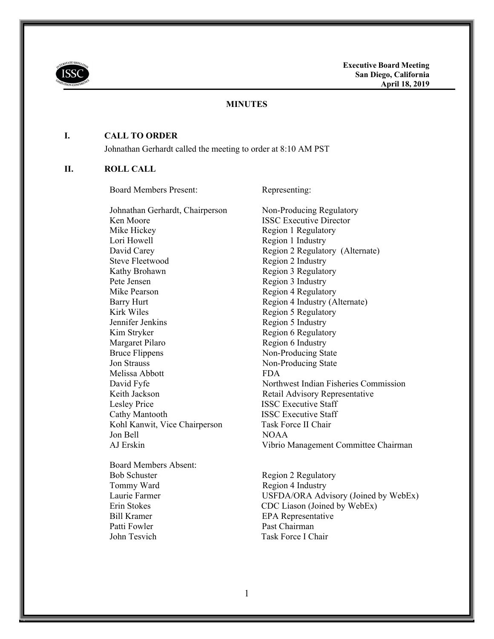

#### **MINUTES**

#### **I. CALL TO ORDER**

Johnathan Gerhardt called the meeting to order at 8:10 AM PST

### **II. ROLL CALL**

Board Members Present: Representing:

Ken Moore **ISSC Executive Director** Mike Hickey Region 1 Regulatory Lori Howell Region 1 Industry David Carey Region 2 Regulatory (Alternate) Steve Fleetwood Region 2 Industry Kathy Brohawn Region 3 Regulatory Pete Jensen Region 3 Industry Mike Pearson Region 4 Regulatory Barry Hurt Region 4 Industry (Alternate) Kirk Wiles Region 5 Regulatory Jennifer Jenkins Region 5 Industry Kim Stryker Region 6 Regulatory Margaret Pilaro Region 6 Industry Bruce Flippens Non-Producing State Jon Strauss Non-Producing State Melissa Abbott FDA Keith Jackson Retail Advisory Representative Lesley Price **ISSC Executive Staff** Cathy Mantooth **ISSC Executive Staff** Kohl Kanwit, Vice Chairperson Task Force II Chair Jon Bell NOAA AJ Erskin Vibrio Management Committee Chairman

Board Members Absent: Bob Schuster Region 2 Regulatory Tommy Ward Region 4 Industry Bill Kramer EPA Representative Patti Fowler Past Chairman John Tesvich Task Force I Chair

Johnathan Gerhardt, Chairperson Non-Producing Regulatory David Fyfe Northwest Indian Fisheries Commission

Laurie Farmer USFDA/ORA Advisory (Joined by WebEx) Erin Stokes CDC Liason (Joined by WebEx)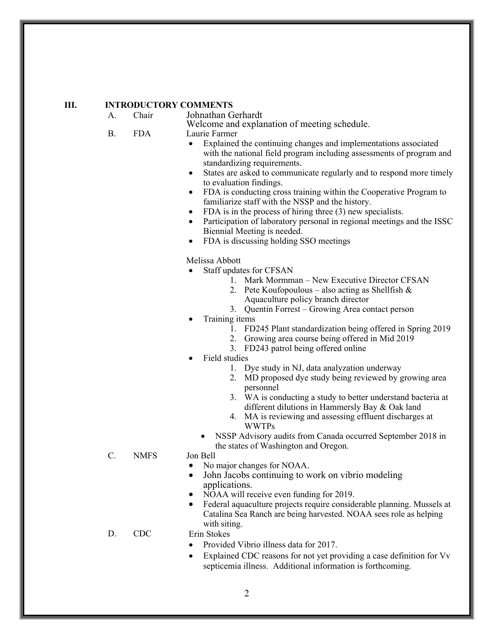### **III. INTRODUCTORY COMMENTS**

A. Chair Johnathan Gerhardt

Welcome and explanation of meeting schedule. B. FDA Laurie Farmer

- 
- Explained the continuing changes and implementations associated with the national field program including assessments of program and standardizing requirements.
- States are asked to communicate regularly and to respond more timely to evaluation findings.
- FDA is conducting cross training within the Cooperative Program to familiarize staff with the NSSP and the history.
- FDA is in the process of hiring three (3) new specialists.
- Participation of laboratory personal in regional meetings and the ISSC Biennial Meeting is needed.
- FDA is discussing holding SSO meetings

Melissa Abbott

- Staff updates for CFSAN
	- 1. Mark Mormman New Executive Director CFSAN
	- 2. Pete Koufopoulous also acting as Shellfish  $\&$ Aquaculture policy branch director
	- 3. Quentin Forrest Growing Area contact person

Training items

- 1. FD245 Plant standardization being offered in Spring 2019
- 2. Growing area course being offered in Mid 2019
- 3. FD243 patrol being offered online
- Field studies
	- 1. Dye study in NJ, data analyzation underway
	- 2. MD proposed dye study being reviewed by growing area personnel
	- 3. WA is conducting a study to better understand bacteria at different dilutions in Hammersly Bay & Oak land
	- 4. MA is reviewing and assessing effluent discharges at WWTPs
	- NSSP Advisory audits from Canada occurred September 2018 in the states of Washington and Oregon.

C. NMFS Jon Bell

- - No major changes for NOAA.
	- John Jacobs continuing to work on vibrio modeling applications.
- NOAA will receive even funding for 2019.
- Federal aquaculture projects require considerable planning. Mussels at Catalina Sea Ranch are being harvested. NOAA sees role as helping with siting.
- D. CDC Erin Stokes
	- Provided Vibrio illness data for 2017.
	- Explained CDC reasons for not yet providing a case definition for Vv septicemia illness. Additional information is forthcoming.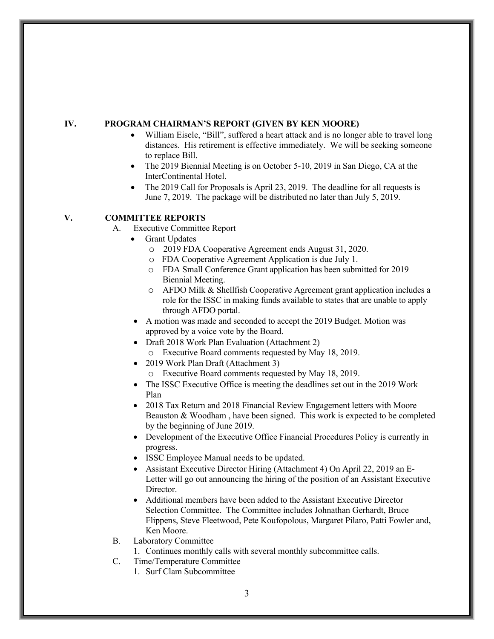### **IV. PROGRAM CHAIRMAN'S REPORT (GIVEN BY KEN MOORE)**

- William Eisele, "Bill", suffered a heart attack and is no longer able to travel long distances. His retirement is effective immediately. We will be seeking someone to replace Bill.
- The 2019 Biennial Meeting is on October 5-10, 2019 in San Diego, CA at the InterContinental Hotel.
- The 2019 Call for Proposals is April 23, 2019. The deadline for all requests is June 7, 2019. The package will be distributed no later than July 5, 2019.

# **V. COMMITTEE REPORTS**

- A. Executive Committee Report
	- Grant Updates
		- o 2019 FDA Cooperative Agreement ends August 31, 2020.
		- o FDA Cooperative Agreement Application is due July 1.
		- o FDA Small Conference Grant application has been submitted for 2019 Biennial Meeting.
		- o AFDO Milk & Shellfish Cooperative Agreement grant application includes a role for the ISSC in making funds available to states that are unable to apply through AFDO portal.
		- A motion was made and seconded to accept the 2019 Budget. Motion was approved by a voice vote by the Board.
		- Draft 2018 Work Plan Evaluation (Attachment 2)
			- o Executive Board comments requested by May 18, 2019.
		- 2019 Work Plan Draft (Attachment 3)
			- o Executive Board comments requested by May 18, 2019.
		- The ISSC Executive Office is meeting the deadlines set out in the 2019 Work Plan
		- 2018 Tax Return and 2018 Financial Review Engagement letters with Moore Beauston & Woodham , have been signed. This work is expected to be completed by the beginning of June 2019.
		- Development of the Executive Office Financial Procedures Policy is currently in progress.
		- ISSC Employee Manual needs to be updated.
		- Assistant Executive Director Hiring (Attachment 4) On April 22, 2019 an E-Letter will go out announcing the hiring of the position of an Assistant Executive Director.
		- Additional members have been added to the Assistant Executive Director Selection Committee. The Committee includes Johnathan Gerhardt, Bruce Flippens, Steve Fleetwood, Pete Koufopolous, Margaret Pilaro, Patti Fowler and, Ken Moore.
- B. Laboratory Committee
	- 1. Continues monthly calls with several monthly subcommittee calls.
- C. Time/Temperature Committee
	- 1. Surf Clam Subcommittee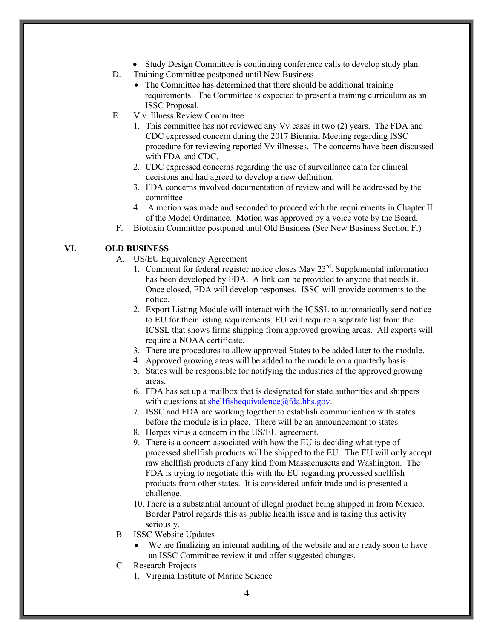- Study Design Committee is continuing conference calls to develop study plan.
- D. Training Committee postponed until New Business
	- The Committee has determined that there should be additional training requirements. The Committee is expected to present a training curriculum as an ISSC Proposal.
- E. V.v. Illness Review Committee
	- 1. This committee has not reviewed any Vv cases in two (2) years. The FDA and CDC expressed concern during the 2017 Biennial Meeting regarding ISSC procedure for reviewing reported Vv illnesses. The concerns have been discussed with FDA and CDC.
	- 2. CDC expressed concerns regarding the use of surveillance data for clinical decisions and had agreed to develop a new definition.
	- 3. FDA concerns involved documentation of review and will be addressed by the committee
	- 4. A motion was made and seconded to proceed with the requirements in Chapter II of the Model Ordinance. Motion was approved by a voice vote by the Board.
- F. Biotoxin Committee postponed until Old Business (See New Business Section F.)

# **VI. OLD BUSINESS**

- A. US/EU Equivalency Agreement
	- 1. Comment for federal register notice closes May  $23<sup>rd</sup>$ . Supplemental information has been developed by FDA. A link can be provided to anyone that needs it. Once closed, FDA will develop responses. ISSC will provide comments to the notice.
	- 2. Export Listing Module will interact with the ICSSL to automatically send notice to EU for their listing requirements. EU will require a separate list from the ICSSL that shows firms shipping from approved growing areas. All exports will require a NOAA certificate.
	- 3. There are procedures to allow approved States to be added later to the module.
	- 4. Approved growing areas will be added to the module on a quarterly basis.
	- 5. States will be responsible for notifying the industries of the approved growing areas.
	- 6. FDA has set up a mailbox that is designated for state authorities and shippers with questions at shellfishequivalence@fda.hhs.gov.
	- 7. ISSC and FDA are working together to establish communication with states before the module is in place. There will be an announcement to states.
	- 8. Herpes virus a concern in the US/EU agreement.
	- 9. There is a concern associated with how the EU is deciding what type of processed shellfish products will be shipped to the EU. The EU will only accept raw shellfish products of any kind from Massachusetts and Washington. The FDA is trying to negotiate this with the EU regarding processed shellfish products from other states. It is considered unfair trade and is presented a challenge.
	- 10.There is a substantial amount of illegal product being shipped in from Mexico. Border Patrol regards this as public health issue and is taking this activity seriously.
- B. ISSC Website Updates
	- We are finalizing an internal auditing of the website and are ready soon to have an ISSC Committee review it and offer suggested changes.
- C. Research Projects
	- 1. Virginia Institute of Marine Science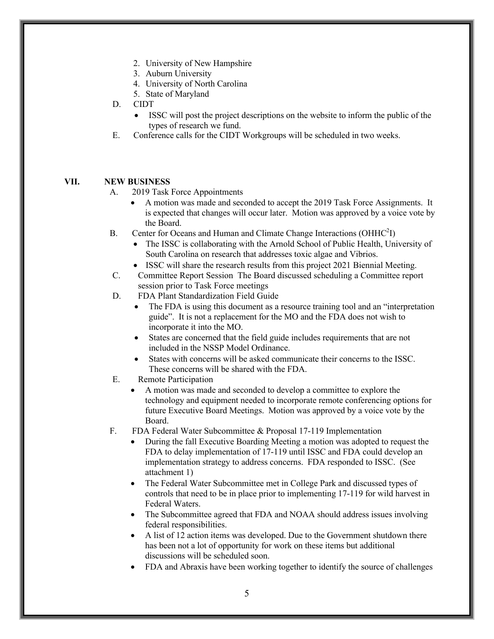- 2. University of New Hampshire
- 3. Auburn University
- 4. University of North Carolina
- 5. State of Maryland
- D. CIDT
	- ISSC will post the project descriptions on the website to inform the public of the types of research we fund.
- E. Conference calls for the CIDT Workgroups will be scheduled in two weeks.

### **VII. NEW BUSINESS**

- A. 2019 Task Force Appointments
	- A motion was made and seconded to accept the 2019 Task Force Assignments. It is expected that changes will occur later. Motion was approved by a voice vote by the Board.
- B. Center for Oceans and Human and Climate Change Interactions (OHHC<sup>2</sup>I)
	- The ISSC is collaborating with the Arnold School of Public Health, University of South Carolina on research that addresses toxic algae and Vibrios.
	- ISSC will share the research results from this project 2021 Biennial Meeting.
- C. Committee Report Session The Board discussed scheduling a Committee report session prior to Task Force meetings
- D. FDA Plant Standardization Field Guide
	- The FDA is using this document as a resource training tool and an "interpretation guide". It is not a replacement for the MO and the FDA does not wish to incorporate it into the MO.
	- States are concerned that the field guide includes requirements that are not included in the NSSP Model Ordinance.
	- States with concerns will be asked communicate their concerns to the ISSC. These concerns will be shared with the FDA.
- E. Remote Participation
	- A motion was made and seconded to develop a committee to explore the technology and equipment needed to incorporate remote conferencing options for future Executive Board Meetings. Motion was approved by a voice vote by the Board.
- F. FDA Federal Water Subcommittee & Proposal 17-119 Implementation
	- During the fall Executive Boarding Meeting a motion was adopted to request the FDA to delay implementation of 17-119 until ISSC and FDA could develop an implementation strategy to address concerns. FDA responded to ISSC. (See attachment 1)
	- The Federal Water Subcommittee met in College Park and discussed types of controls that need to be in place prior to implementing 17-119 for wild harvest in Federal Waters.
	- The Subcommittee agreed that FDA and NOAA should address issues involving federal responsibilities.
	- A list of 12 action items was developed. Due to the Government shutdown there has been not a lot of opportunity for work on these items but additional discussions will be scheduled soon.
	- FDA and Abraxis have been working together to identify the source of challenges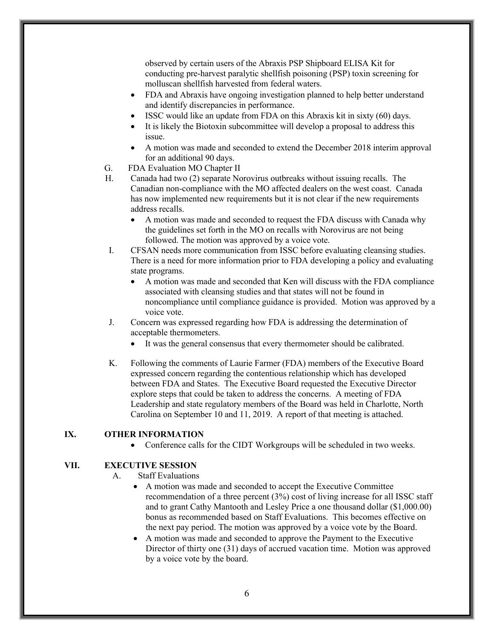observed by certain users of the Abraxis PSP Shipboard ELISA Kit for conducting pre-harvest paralytic shellfish poisoning (PSP) toxin screening for molluscan shellfish harvested from federal waters.

- FDA and Abraxis have ongoing investigation planned to help better understand and identify discrepancies in performance.
- ISSC would like an update from FDA on this Abraxis kit in sixty (60) days.
- It is likely the Biotoxin subcommittee will develop a proposal to address this issue.
- A motion was made and seconded to extend the December 2018 interim approval for an additional 90 days.
- G. FDA Evaluation MO Chapter II
- H. Canada had two (2) separate Norovirus outbreaks without issuing recalls. The Canadian non-compliance with the MO affected dealers on the west coast. Canada has now implemented new requirements but it is not clear if the new requirements address recalls.
	- A motion was made and seconded to request the FDA discuss with Canada why the guidelines set forth in the MO on recalls with Norovirus are not being followed. The motion was approved by a voice vote.
- I. CFSAN needs more communication from ISSC before evaluating cleansing studies. There is a need for more information prior to FDA developing a policy and evaluating state programs.
	- A motion was made and seconded that Ken will discuss with the FDA compliance associated with cleansing studies and that states will not be found in noncompliance until compliance guidance is provided. Motion was approved by a voice vote.
- J. Concern was expressed regarding how FDA is addressing the determination of acceptable thermometers.
	- It was the general consensus that every thermometer should be calibrated.
- K. Following the comments of Laurie Farmer (FDA) members of the Executive Board expressed concern regarding the contentious relationship which has developed between FDA and States. The Executive Board requested the Executive Director explore steps that could be taken to address the concerns. A meeting of FDA Leadership and state regulatory members of the Board was held in Charlotte, North Carolina on September 10 and 11, 2019. A report of that meeting is attached.

### **IX. OTHER INFORMATION**

Conference calls for the CIDT Workgroups will be scheduled in two weeks.

# **VII. EXECUTIVE SESSION**

A. Staff Evaluations

- A motion was made and seconded to accept the Executive Committee recommendation of a three percent (3%) cost of living increase for all ISSC staff and to grant Cathy Mantooth and Lesley Price a one thousand dollar (\$1,000.00) bonus as recommended based on Staff Evaluations. This becomes effective on the next pay period. The motion was approved by a voice vote by the Board.
- A motion was made and seconded to approve the Payment to the Executive Director of thirty one (31) days of accrued vacation time. Motion was approved by a voice vote by the board.